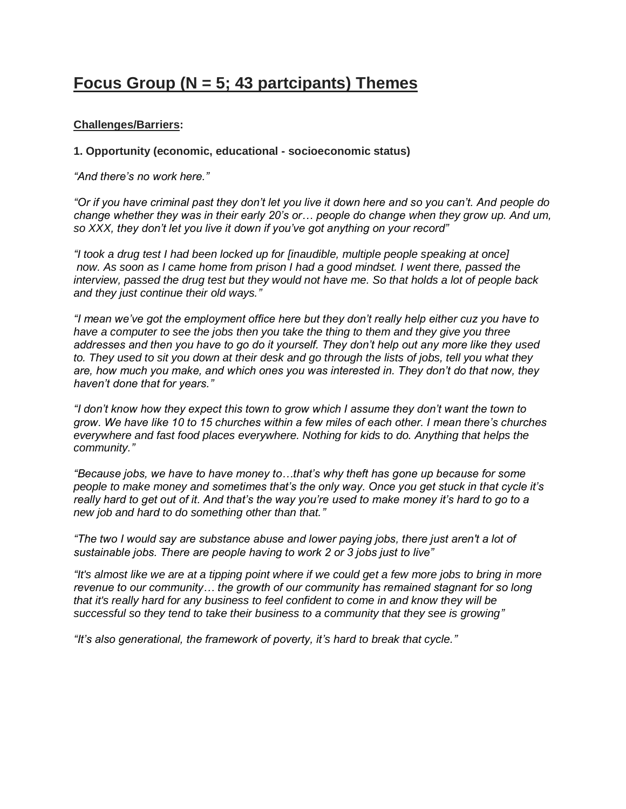## **Focus Group (N = 5; 43 partcipants) Themes**

### **Challenges/Barriers:**

### **1. Opportunity (economic, educational - socioeconomic status)**

*"And there's no work here."*

*"Or if you have criminal past they don't let you live it down here and so you can't. And people do change whether they was in their early 20's or… people do change when they grow up. And um, so XXX, they don't let you live it down if you've got anything on your record"*

*"I took a drug test I had been locked up for [inaudible, multiple people speaking at once] now. As soon as I came home from prison I had a good mindset. I went there, passed the interview, passed the drug test but they would not have me. So that holds a lot of people back and they just continue their old ways."*

*"I mean we've got the employment office here but they don't really help either cuz you have to have a computer to see the jobs then you take the thing to them and they give you three addresses and then you have to go do it yourself. They don't help out any more like they used to. They used to sit you down at their desk and go through the lists of jobs, tell you what they are, how much you make, and which ones you was interested in. They don't do that now, they haven't done that for years."*

*"I don't know how they expect this town to grow which I assume they don't want the town to grow. We have like 10 to 15 churches within a few miles of each other. I mean there's churches everywhere and fast food places everywhere. Nothing for kids to do. Anything that helps the community."*

*"Because jobs, we have to have money to…that's why theft has gone up because for some people to make money and sometimes that's the only way. Once you get stuck in that cycle it's really hard to get out of it. And that's the way you're used to make money it's hard to go to a new job and hard to do something other than that."*

*"The two I would say are substance abuse and lower paying jobs, there just aren't a lot of sustainable jobs. There are people having to work 2 or 3 jobs just to live"*

*"It's almost like we are at a tipping point where if we could get a few more jobs to bring in more revenue to our community… the growth of our community has remained stagnant for so long that it's really hard for any business to feel confident to come in and know they will be successful so they tend to take their business to a community that they see is growing"*

*"It's also generational, the framework of poverty, it's hard to break that cycle."*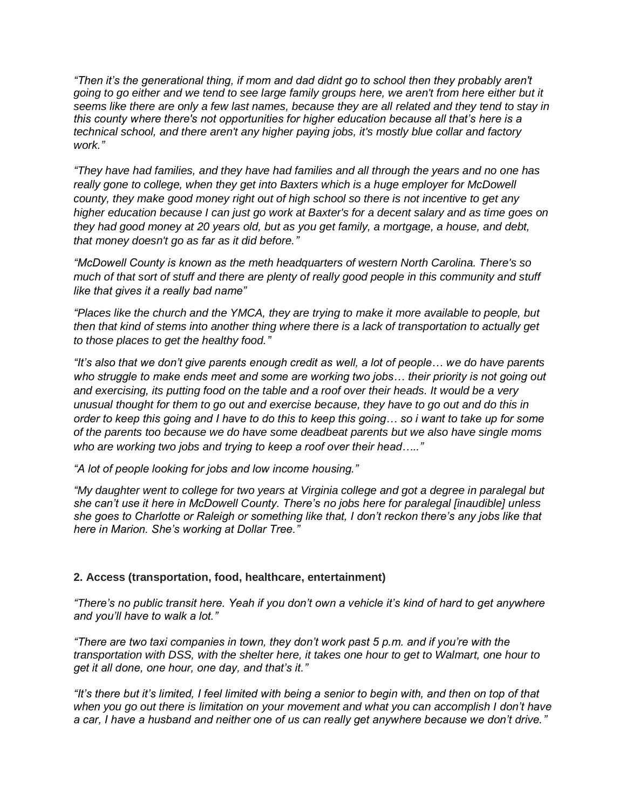*"Then it's the generational thing, if mom and dad didnt go to school then they probably aren't going to go either and we tend to see large family groups here, we aren't from here either but it seems like there are only a few last names, because they are all related and they tend to stay in this county where there's not opportunities for higher education because all that's here is a technical school, and there aren't any higher paying jobs, it's mostly blue collar and factory work."*

*"They have had families, and they have had families and all through the years and no one has really gone to college, when they get into Baxters which is a huge employer for McDowell county, they make good money right out of high school so there is not incentive to get any higher education because I can just go work at Baxter's for a decent salary and as time goes on they had good money at 20 years old, but as you get family, a mortgage, a house, and debt, that money doesn't go as far as it did before."*

*"McDowell County is known as the meth headquarters of western North Carolina. There's so much of that sort of stuff and there are plenty of really good people in this community and stuff like that gives it a really bad name"*

*"Places like the church and the YMCA, they are trying to make it more available to people, but then that kind of stems into another thing where there is a lack of transportation to actually get to those places to get the healthy food."*

*"It's also that we don't give parents enough credit as well, a lot of people… we do have parents who struggle to make ends meet and some are working two jobs… their priority is not going out and exercising, its putting food on the table and a roof over their heads. It would be a very unusual thought for them to go out and exercise because, they have to go out and do this in order to keep this going and I have to do this to keep this going… so i want to take up for some of the parents too because we do have some deadbeat parents but we also have single moms who are working two jobs and trying to keep a roof over their head….."*

*"A lot of people looking for jobs and low income housing."*

*"My daughter went to college for two years at Virginia college and got a degree in paralegal but she can't use it here in McDowell County. There's no jobs here for paralegal [inaudible] unless she goes to Charlotte or Raleigh or something like that, I don't reckon there's any jobs like that here in Marion. She's working at Dollar Tree."*

### **2. Access (transportation, food, healthcare, entertainment)**

*"There's no public transit here. Yeah if you don't own a vehicle it's kind of hard to get anywhere and you'll have to walk a lot."*

*"There are two taxi companies in town, they don't work past 5 p.m. and if you're with the transportation with DSS, with the shelter here, it takes one hour to get to Walmart, one hour to get it all done, one hour, one day, and that's it."*

*"It's there but it's limited, I feel limited with being a senior to begin with, and then on top of that when you go out there is limitation on your movement and what you can accomplish I don't have a car, I have a husband and neither one of us can really get anywhere because we don't drive."*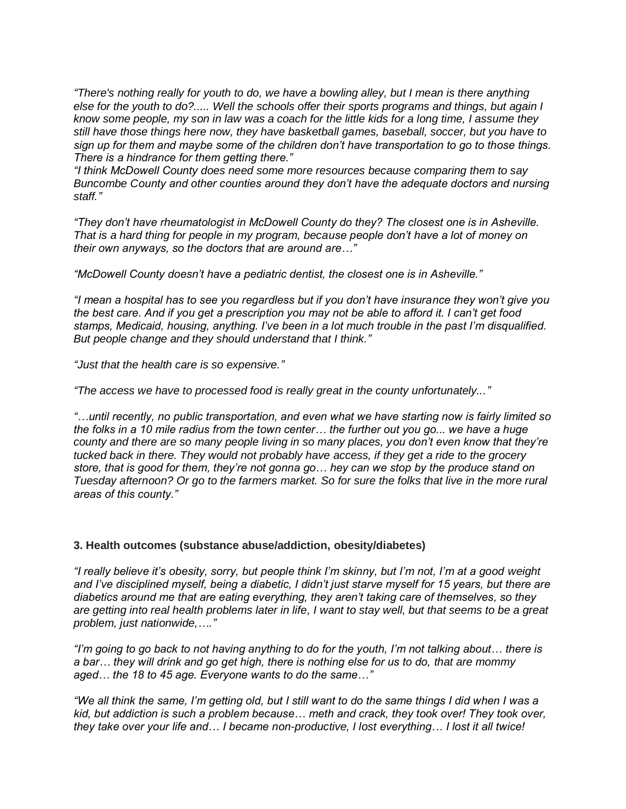*"There's nothing really for youth to do, we have a bowling alley, but I mean is there anything else for the youth to do?..... Well the schools offer their sports programs and things, but again I know some people, my son in law was a coach for the little kids for a long time, I assume they still have those things here now, they have basketball games, baseball, soccer, but you have to sign up for them and maybe some of the children don't have transportation to go to those things. There is a hindrance for them getting there."* 

*"I think McDowell County does need some more resources because comparing them to say Buncombe County and other counties around they don't have the adequate doctors and nursing staff."*

*"They don't have rheumatologist in McDowell County do they? The closest one is in Asheville. That is a hard thing for people in my program, because people don't have a lot of money on their own anyways, so the doctors that are around are…"*

*"McDowell County doesn't have a pediatric dentist, the closest one is in Asheville."*

*"I mean a hospital has to see you regardless but if you don't have insurance they won't give you the best care. And if you get a prescription you may not be able to afford it. I can't get food stamps, Medicaid, housing, anything. I've been in a lot much trouble in the past I'm disqualified. But people change and they should understand that I think."*

*"Just that the health care is so expensive."*

*"The access we have to processed food is really great in the county unfortunately..."*

*"…until recently, no public transportation, and even what we have starting now is fairly limited so the folks in a 10 mile radius from the town center… the further out you go... we have a huge county and there are so many people living in so many places, you don't even know that they're tucked back in there. They would not probably have access, if they get a ride to the grocery store, that is good for them, they're not gonna go… hey can we stop by the produce stand on Tuesday afternoon? Or go to the farmers market. So for sure the folks that live in the more rural areas of this county."*

#### **3. Health outcomes (substance abuse/addiction, obesity/diabetes)**

*"I really believe it's obesity, sorry, but people think I'm skinny, but I'm not, I'm at a good weight and I've disciplined myself, being a diabetic, I didn't just starve myself for 15 years, but there are diabetics around me that are eating everything, they aren't taking care of themselves, so they are getting into real health problems later in life, I want to stay well, but that seems to be a great problem, just nationwide,…."*

*"I'm going to go back to not having anything to do for the youth, I'm not talking about… there is a bar… they will drink and go get high, there is nothing else for us to do, that are mommy aged… the 18 to 45 age. Everyone wants to do the same…"*

*"We all think the same, I'm getting old, but I still want to do the same things I did when I was a kid, but addiction is such a problem because… meth and crack, they took over! They took over, they take over your life and… I became non-productive, I lost everything… I lost it all twice!*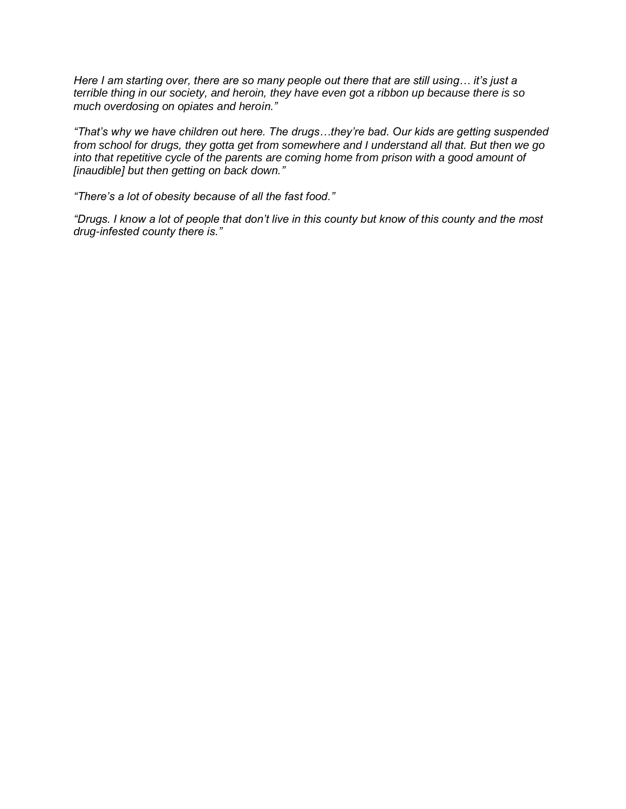*Here I am starting over, there are so many people out there that are still using… it's just a terrible thing in our society, and heroin, they have even got a ribbon up because there is so much overdosing on opiates and heroin."* 

*"That's why we have children out here. The drugs…they're bad. Our kids are getting suspended from school for drugs, they gotta get from somewhere and I understand all that. But then we go into that repetitive cycle of the parents are coming home from prison with a good amount of [inaudible] but then getting on back down."*

*"There's a lot of obesity because of all the fast food."*

*"Drugs. I know a lot of people that don't live in this county but know of this county and the most drug-infested county there is."*